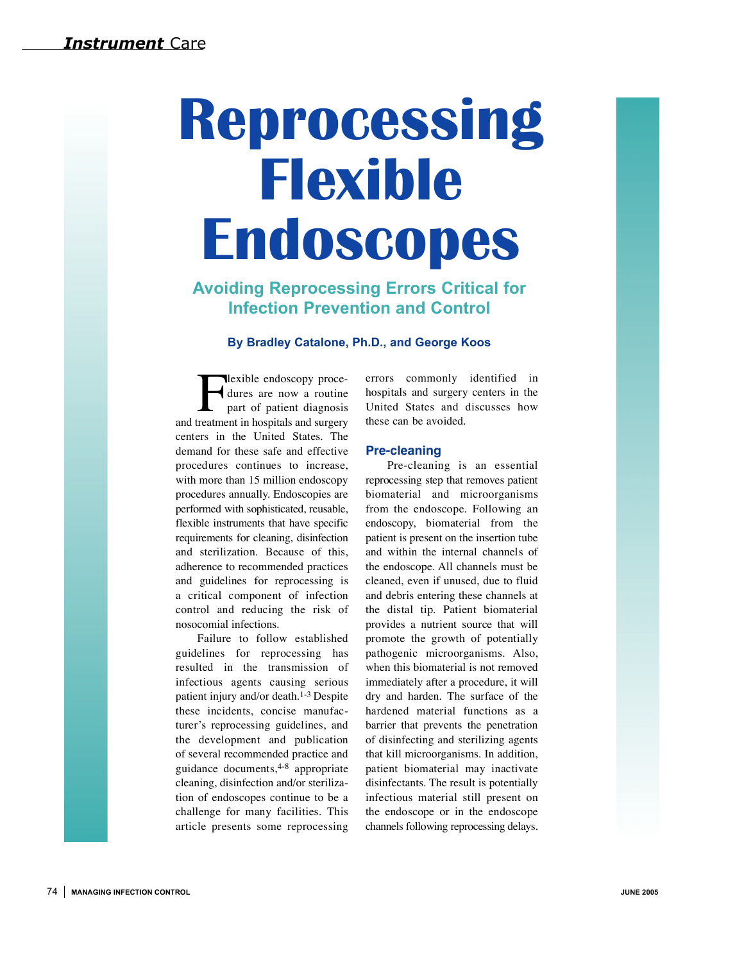# **Reprocessing Flexible Endoscopes**

## **Avoiding Reprocessing Errors Critical for Infection Prevention and Control**

#### **By Bradley Catalone, Ph.D., and George Koos**

**Flexible endoscopy proce-**<br>dures are now a routine<br>part of patient diagnosis<br>reatment in hospitals and surgery dures are now a routine part of patient diagnosis and treatment in hospitals and surgery centers in the United States. The demand for these safe and effective procedures continues to increase, with more than 15 million endoscopy procedures annually. Endoscopies are performed with sophisticated, reusable, flexible instruments that have specific requirements for cleaning, disinfection and sterilization. Because of this, adherence to recommended practices and guidelines for reprocessing is a critical component of infection control and reducing the risk of nosocomial infections.

Failure to follow established guidelines for reprocessing has resulted in the transmission of infectious agents causing serious patient injury and/or death.1-3 Despite these incidents, concise manufacturer's reprocessing guidelines, and the development and publication of several recommended practice and guidance documents, 4-8 appropriate cleaning, disinfection and/or sterilization of endoscopes continue to be a challenge for many facilities. This article presents some reprocessing errors commonly identified in hospitals and surgery centers in the United States and discusses how these can be avoided.

#### **Pre-cleaning**

Pre-cleaning is an essential reprocessing step that removes patient biomaterial and microorganisms from the endoscope. Following an endoscopy, biomaterial from the patient is present on the insertion tube and within the internal channels of the endoscope. All channels must be cleaned, even if unused, due to fluid and debris entering these channels at the distal tip. Patient biomaterial provides a nutrient source that will promote the growth of potentially pathogenic microorganisms. Also, when this biomaterial is not removed immediately after a procedure, it will dry and harden. The surface of the hardened material functions as a barrier that prevents the penetration of disinfecting and sterilizing agents that kill microorganisms. In addition, patient biomaterial may inactivate disinfectants. The result is potentially infectious material still present on the endoscope or in the endoscope channels following reprocessing delays.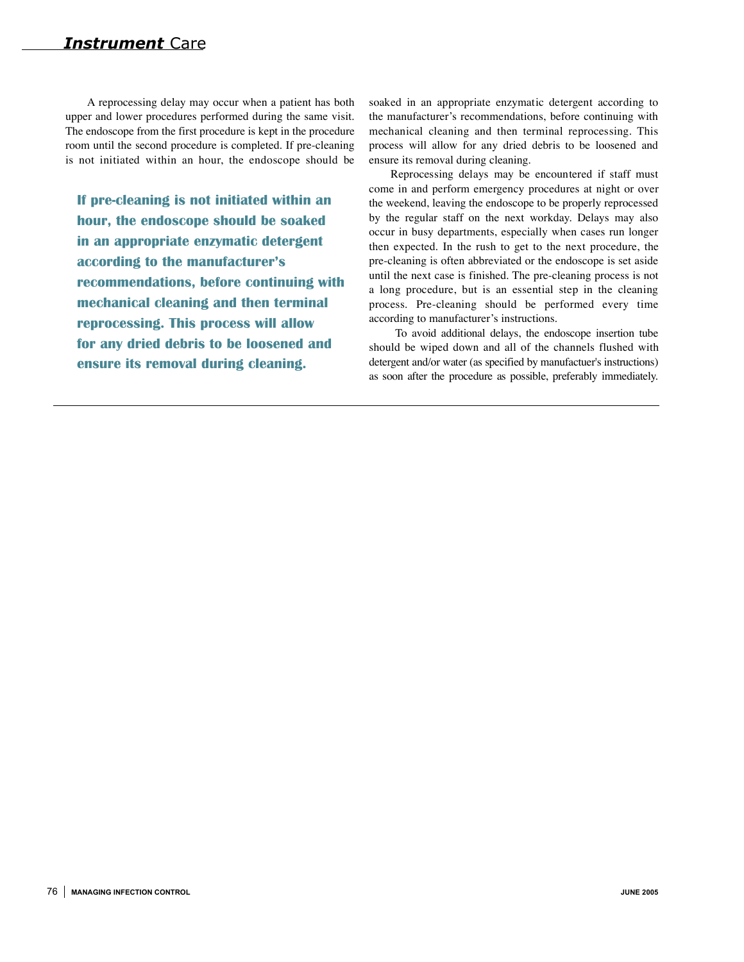A reprocessing delay may occur when a patient has both upper and lower procedures performed during the same visit. The endoscope from the first procedure is kept in the procedure room until the second procedure is completed. If pre-cleaning is not initiated within an hour, the endoscope should be

**If pre-cleaning is not initiated within an hour, the endoscope should be soaked in an appropriate enzymatic detergent according to the manufacturer's recommendations, before continuing with mechanical cleaning and then terminal reprocessing. This process will allow for any dried debris to be loosened and ensure its removal during cleaning.**

soaked in an appropriate enzymatic detergent according to the manufacturer's recommendations, before continuing with mechanical cleaning and then terminal reprocessing. This process will allow for any dried debris to be loosened and ensure its removal during cleaning.

Reprocessing delays may be encountered if staff must come in and perform emergency procedures at night or over the weekend, leaving the endoscope to be properly reprocessed by the regular staff on the next workday. Delays may also occur in busy departments, especially when cases run longer then expected. In the rush to get to the next procedure, the pre-cleaning is often abbreviated or the endoscope is set aside until the next case is finished. The pre-cleaning process is not a long procedure, but is an essential step in the cleaning process. Pre-cleaning should be performed every time according to manufacturer's instructions.

To avoid additional delays, the endoscope insertion tube should be wiped down and all of the channels flushed with detergent and/or water (as specified by manufactuer's instructions) as soon after the procedure as possible, preferably immediately.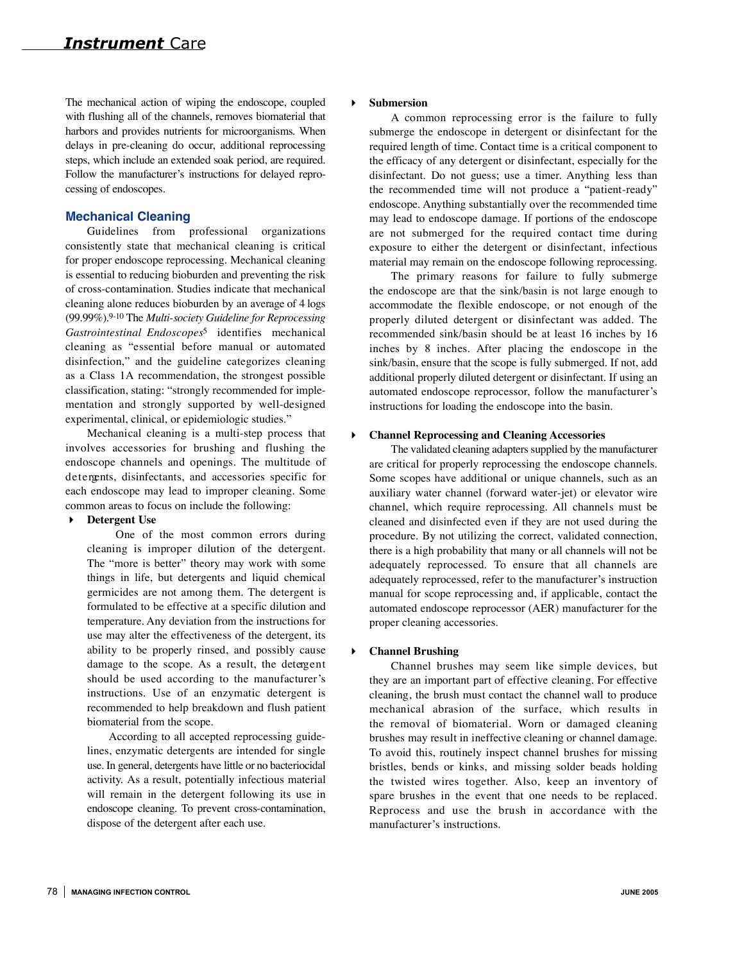The mechanical action of wiping the endoscope, coupled with flushing all of the channels, removes biomaterial that harbors and provides nutrients for microorganisms. When delays in pre-cleaning do occur, additional reprocessing steps, which include an extended soak period, are required. Follow the manufacturer's instructions for delayed reprocessing of endoscopes.

#### **Mechanical Cleaning**

Guidelines from professional organizations consistently state that mechanical cleaning is critical for proper endoscope reprocessing. Mechanical cleaning is essential to reducing bioburden and preventing the risk of cross-contamination. Studies indicate that mechanical cleaning alone reduces bioburden by an average of 4 logs (99.99%).<sup>9-10</sup> The *Multi-society Guideline for Reprocessing Gastrointestinal Endoscopes*5 identifies mechanical cleaning as "essential before manual or automated disinfection," and the guideline categorizes cleaning as a Class 1A recommendation, the strongest possible classification, stating: "strongly recommended for implementation and strongly supported by well-designed experimental, clinical, or epidemiologic studies."

Mechanical cleaning is a multi-step process that involves accessories for brushing and flushing the endoscope channels and openings. The multitude of detergents, disinfectants, and accessories specific for each endoscope may lead to improper cleaning. Some common areas to focus on include the following:

#### **Detergent Use**

One of the most common errors during cleaning is improper dilution of the detergent. The "more is better" theory may work with some things in life, but detergents and liquid chemical germicides are not among them. The detergent is formulated to be effective at a specific dilution and temperature. Any deviation from the instructions for use may alter the effectiveness of the detergent, its ability to be properly rinsed, and possibly cause damage to the scope. As a result, the detergent should be used according to the manufacturer's instructions. Use of an enzymatic detergent is recommended to help breakdown and flush patient biomaterial from the scope.

According to all accepted reprocessing guidelines, enzymatic detergents are intended for single use. In general, detergents have little or no bacteriocidal activity. As a result, potentially infectious material will remain in the detergent following its use in endoscope cleaning. To prevent cross-contamination, dispose of the detergent after each use.

#### **Submersion**

A common reprocessing error is the failure to fully submerge the endoscope in detergent or disinfectant for the required length of time. Contact time is a critical component to the efficacy of any detergent or disinfectant, especially for the disinfectant. Do not guess; use a timer. Anything less than the recommended time will not produce a "patient-ready" endoscope. Anything substantially over the recommended time may lead to endoscope damage. If portions of the endoscope are not submerged for the required contact time during exposure to either the detergent or disinfectant, infectious material may remain on the endoscope following reprocessing.

The primary reasons for failure to fully submerge the endoscope are that the sink/basin is not large enough to accommodate the flexible endoscope, or not enough of the properly diluted detergent or disinfectant was added. The recommended sink/basin should be at least 16 inches by 16 inches by 8 inches. After placing the endoscope in the sink/basin, ensure that the scope is fully submerged. If not, add additional properly diluted detergent or disinfectant. If using an automated endoscope reprocessor, follow the manufacturer's instructions for loading the endoscope into the basin.

#### **Channel Reprocessing and Cleaning Accessories**

The validated cleaning adapters supplied by the manufacturer are critical for properly reprocessing the endoscope channels. Some scopes have additional or unique channels, such as an auxiliary water channel (forward water-jet) or elevator wire channel, which require reprocessing. All channels must be cleaned and disinfected even if they are not used during the procedure. By not utilizing the correct, validated connection, there is a high probability that many or all channels will not be adequately reprocessed. To ensure that all channels are adequately reprocessed, refer to the manufacturer's instruction manual for scope reprocessing and, if applicable, contact the automated endoscope reprocessor (AER) manufacturer for the proper cleaning accessories.

#### **Channel Brushing**

Channel brushes may seem like simple devices, but they are an important part of effective cleaning. For effective cleaning, the brush must contact the channel wall to produce mechanical abrasion of the surface, which results in the removal of biomaterial. Worn or damaged cleaning brushes may result in ineffective cleaning or channel damage. To avoid this, routinely inspect channel brushes for missing bristles, bends or kinks, and missing solder beads holding the twisted wires together. Also, keep an inventory of spare brushes in the event that one needs to be replaced. Reprocess and use the brush in accordance with the manufacturer's instructions.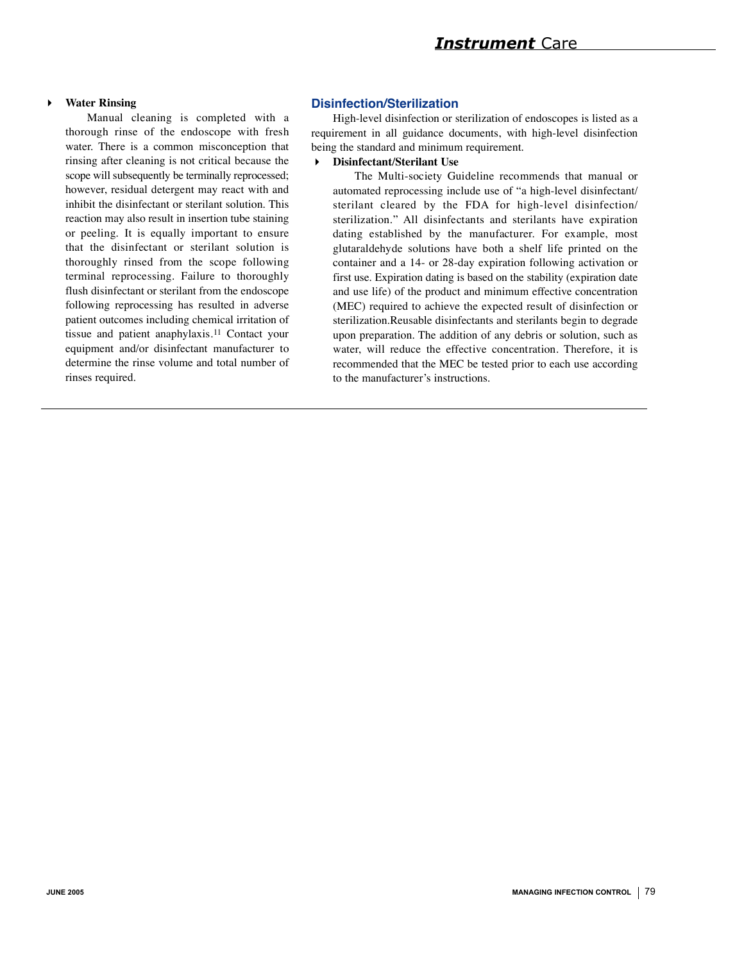### *Instrument* Care

#### **Water Rinsing**

Manual cleaning is completed with a thorough rinse of the endoscope with fresh water. There is a common misconception that rinsing after cleaning is not critical because the scope will subsequently be terminally reprocessed; however, residual detergent may react with and inhibit the disinfectant or sterilant solution. This reaction may also result in insertion tube staining or peeling. It is equally important to ensure that the disinfectant or sterilant solution is thoroughly rinsed from the scope following terminal reprocessing. Failure to thoroughly flush disinfectant or sterilant from the endoscope following reprocessing has resulted in adverse patient outcomes including chemical irritation of tissue and patient anaphylaxis.11 Contact your equipment and/or disinfectant manufacturer to determine the rinse volume and total number of rinses required.

#### **Disinfection/Sterilization**

High-level disinfection or sterilization of endoscopes is listed as a requirement in all guidance documents, with high-level disinfection being the standard and minimum requirement.

#### **Disinfectant/Sterilant Use**

The Multi-society Guideline recommends that manual or automated reprocessing include use of "a high-level disinfectant/ sterilant cleared by the FDA for high-level disinfection/ sterilization." All disinfectants and sterilants have expiration dating established by the manufacturer. For example, most glutaraldehyde solutions have both a shelf life printed on the container and a 14- or 28-day expiration following activation or first use. Expiration dating is based on the stability (expiration date and use life) of the product and minimum effective concentration (MEC) required to achieve the expected result of disinfection or sterilization.Reusable disinfectants and sterilants begin to degrade upon preparation. The addition of any debris or solution, such as water, will reduce the effective concentration. Therefore, it is recommended that the MEC be tested prior to each use according to the manufacturer's instructions.